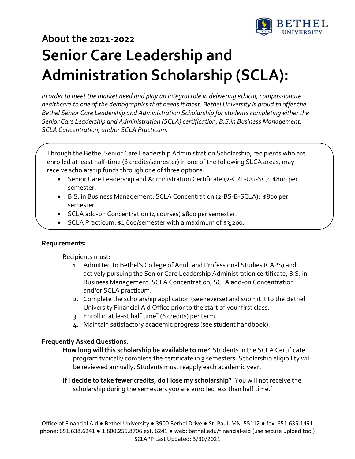

# **About the 2021‐2022 Senior Care Leadership and Administration Scholarship (SCLA):**

*In order to meet the market need and play an integral role in delivering ethical, compassionate healthcare to one of the demographics that needs it most, Bethel University is proud to offer the Bethel Senior Care Leadership and Administration Scholarship for students completing either the Senior Care Leadership and Administration (SCLA) certification, B.S.in Business Management: SCLA Concentration, and/or SCLA Practicum.*

Through the Bethel Senior Care Leadership Administration Scholarship, recipients who are enrolled at least half-time (6 credits/semester) in one of the following SLCA areas, may receive scholarship funds through one of three options:

- Senior Care Leadership and Administration Certificate (2‐CRT‐UG‐SC): \$800 per semester.
- B.S. in Business Management: SCLA Concentration (2‐BS‐B‐SCLA): \$800 per semester.
- SCLA add-on Concentration (4 courses) \$800 per semester.
- SCLA Practicum: \$1,600/semester with a maximum of \$3,200.

#### **Requirements:**

Recipients must:

- 1. Admitted to Bethel's College of Adult and Professional Studies (CAPS) and actively pursuing the Senior Care Leadership Administration certificate, B.S. in Business Management: SCLA Concentration, SCLA add‐on Concentration and/or SCLA practicum.
- 2. Complete the scholarship application (see reverse) and submit it to the Bethel University Financial Aid Office prior to the start of your first class.
- 3. Enroll in at least half time\* (6 credits) per term.
- 4. Maintain satisfactory academic progress (see student handbook).

## **Frequently Asked Questions:**

**How long will this scholarship be available to me**? Students in the SCLA Certificate program typically complete the certificate in 3 semesters. Scholarship eligibility will be reviewed annually. Students must reapply each academic year.

**If I decide to take fewer credits, do I lose my scholarship?** You will not receive the scholarship during the semesters you are enrolled less than half time.<sup>\*</sup>